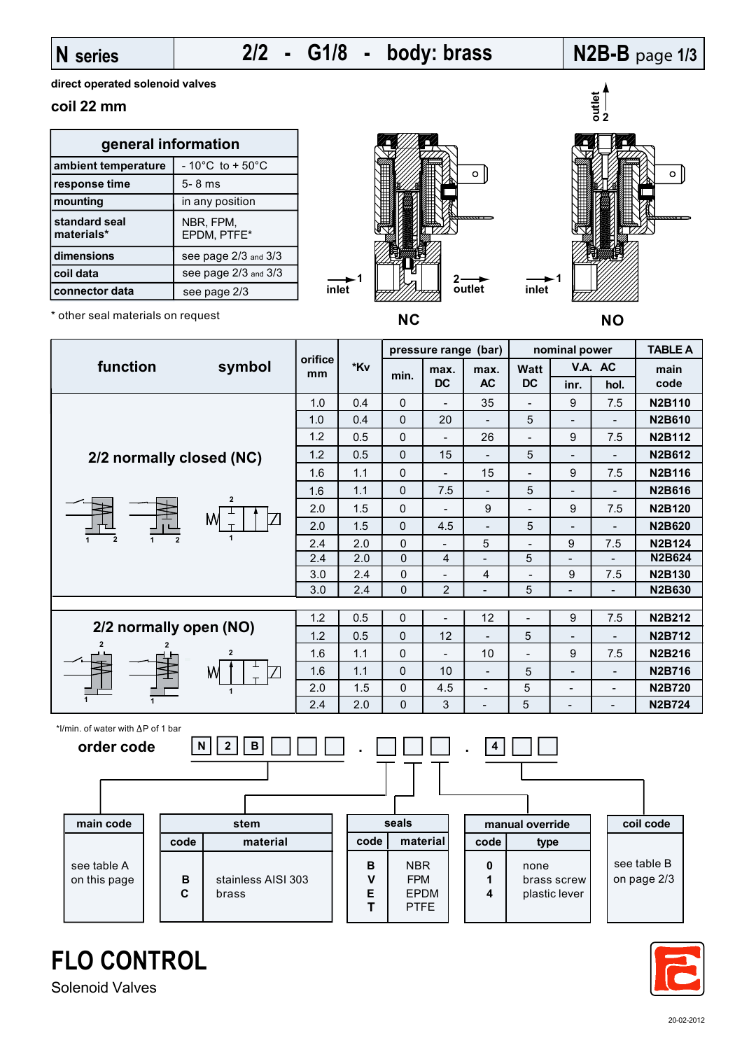### **N series**

## **2/2 - G1/8 - body: brass**

## **N2B-B** page **1/3**

**direct operated solenoid valves**

#### **coil 22 mm**

| general information            |                                      |  |  |  |
|--------------------------------|--------------------------------------|--|--|--|
| ambient temperature            | $-10^{\circ}$ C to + 50 $^{\circ}$ C |  |  |  |
| response time                  | $5 - 8$ ms                           |  |  |  |
| mounting                       | in any position                      |  |  |  |
| standard seal<br>materials*    | NBR, FPM,<br>EPDM, PTFE*             |  |  |  |
| dimensions                     | see page 2/3 and 3/3                 |  |  |  |
| coil data                      | see page 2/3 and 3/3                 |  |  |  |
| connector data<br>see page 2/3 |                                      |  |  |  |





**inlet**

\* other seal materials on request





**FLO CONTROL**

Solenoid Valves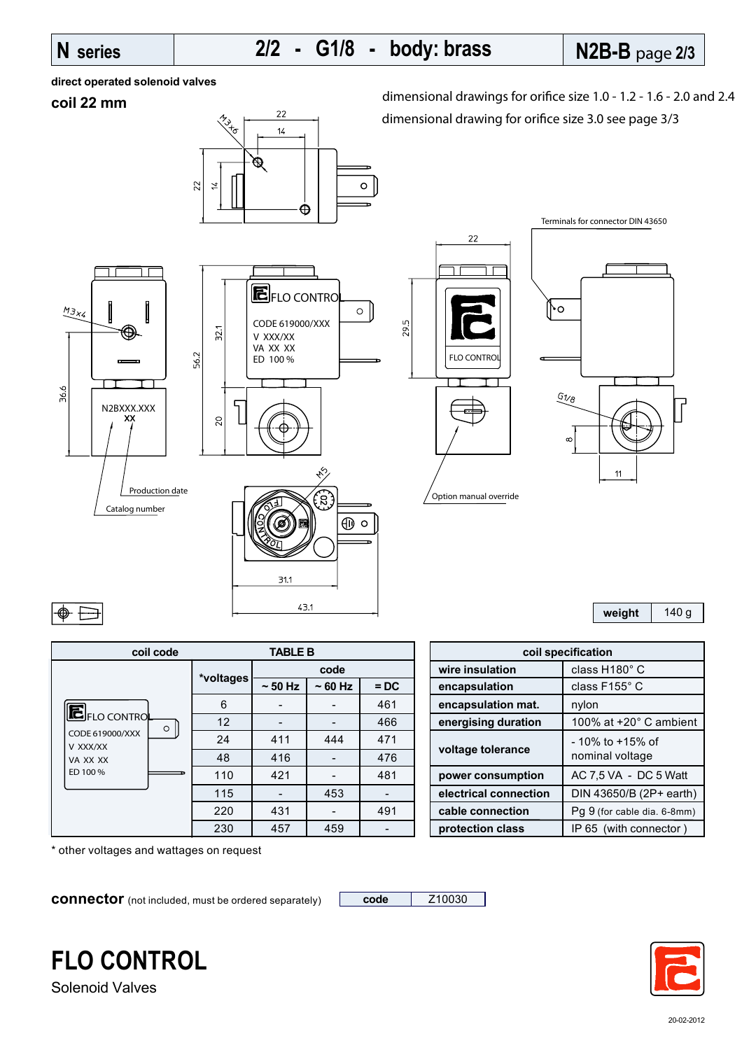# **N series N2B-B** page **2/3 2/2 - G1/8 - body: brass**

**direct operated solenoid valves**

#### **coil 22 mm**



dimensional drawings for orifice size 1.0 - 1.2 - 1.6 - 2.0 and 2.4 dimensional drawing for orifice size 3.0 see page 3/3



| $\circ$    |    |  |
|------------|----|--|
| $6\nu_{8}$ |    |  |
| $\infty$   | 11 |  |

Terminals for connector DIN 43650

**weight** 140 g

| coil code                   | <b>TABLE B</b> |          |          |        |  |  |
|-----------------------------|----------------|----------|----------|--------|--|--|
|                             | *voltages      | code     |          |        |  |  |
|                             |                | $~50$ Hz | $~50$ Hz | $=$ DC |  |  |
|                             | 6              |          |          | 461    |  |  |
| EFLO CONTROL<br>$\circ$     | 12             |          |          | 466    |  |  |
| CODE 619000/XXX<br>V XXX/XX | 24             | 411      | 444      | 471    |  |  |
| VA XX XX                    | 48             | 416      |          | 476    |  |  |
| ED 100%                     | 110            | 421      |          | 481    |  |  |
|                             | 115            |          | 453      |        |  |  |
|                             | 220            | 431      |          | 491    |  |  |
|                             | 230            | 457      | 459      |        |  |  |

 $\text{coil specification}$ **code wire insulation** class H180° C **encapsulation class F155° C** 6 - - 461 **encapsulation mat.** nylon energising duration | 100% at +20° C ambient **voltage tolerance**  $\left| \begin{array}{c} -10\% \text{ to } +15\% \text{ of } \\ \text{nominal voltage} \end{array} \right|$ nominal voltage **power consumption** | AC 7,5 VA - DC 5 Watt electrical connection | DIN 43650/B (2P+ earth) **cable connection** | Pg 9 (for cable dia. 6-8mm) **protection class** | IP 65 (with connector )

\* other voltages and wattages on request

**connector** (not included, must be ordered separately) **code** | Z10030



Solenoid Valves